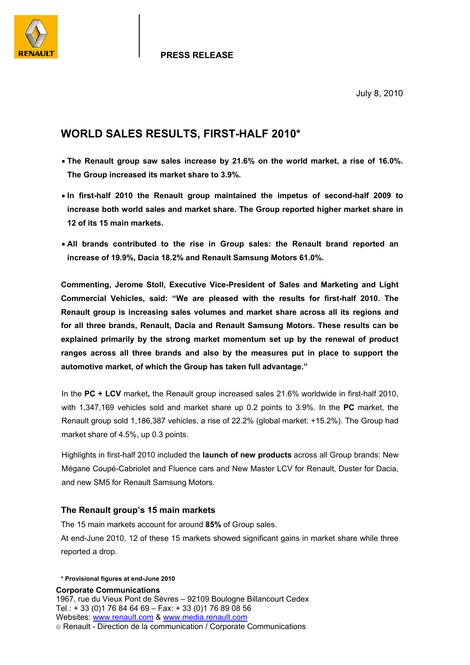

#### **PRESS RELEASE**

July 8, 2010

### **WORLD SALES RESULTS, FIRST-HALF 2010\***

- **The Renault group saw sales increase by 21.6% on the world market, a rise of 16.0%. The Group increased its market share to 3.9%.**
- **In first-half 2010 the Renault group maintained the impetus of second-half 2009 to increase both world sales and market share. The Group reported higher market share in 12 of its 15 main markets.**
- **All brands contributed to the rise in Group sales: the Renault brand reported an increase of 19.9%, Dacia 18.2% and Renault Samsung Motors 61.0%.**

**Commenting, Jerome Stoll, Executive Vice-President of Sales and Marketing and Light Commercial Vehicles, said: "We are pleased with the results for first-half 2010. The Renault group is increasing sales volumes and market share across all its regions and for all three brands, Renault, Dacia and Renault Samsung Motors. These results can be explained primarily by the strong market momentum set up by the renewal of product ranges across all three brands and also by the measures put in place to support the automotive market, of which the Group has taken full advantage."** 

In the **PC + LCV** market**,** the Renault group increased sales 21.6% worldwide in first-half 2010, with 1,347,169 vehicles sold and market share up 0.2 points to 3.9%. In the **PC** market, the Renault group sold 1,186,387 vehicles, a rise of 22.2% (global market: +15.2%). The Group had market share of 4.5%, up 0.3 points.

Highlights in first-half 2010 included the **launch of new products** across all Group brands: New Mégane Coupé-Cabriolet and Fluence cars and New Master LCV for Renault, Duster for Dacia, and new SM5 for Renault Samsung Motors.

#### **The Renault group's 15 main markets**

The 15 main markets account for around **85%** of Group sales. At end-June 2010, 12 of these 15 markets showed significant gains in market share while three

**\* Provisional figures at end-June 2010** 

reported a drop.

**Corporate Communications**  1967, rue du Vieux Pont de Sèvres – 92109 Boulogne Billancourt Cedex Tel.: + 33 (0)1 76 84 64 69 – Fax: + 33 (0)1 76 89 08 56 Websites: www.renault.com & www.media.renault.com Renault - Direction de la communication / Corporate Communications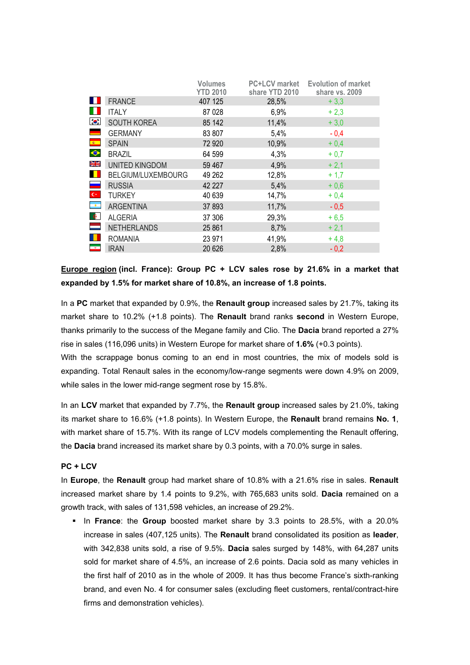|                          |                       | <b>Volumes</b><br><b>YTD 2010</b> | <b>PC+LCV</b> market<br>share YTD 2010 | <b>Evolution of market</b><br>share vs. 2009 |
|--------------------------|-----------------------|-----------------------------------|----------------------------------------|----------------------------------------------|
| ш                        | <b>FRANCE</b>         | 407 125                           | 28,5%                                  | $+3,3$                                       |
| H.                       | <b>ITALY</b>          | 87 0 28                           | 6,9%                                   | $+2,3$                                       |
| $\bullet$                | <b>SOUTH KOREA</b>    | 85 142                            | 11,4%                                  | $+3,0$                                       |
| $\overline{\phantom{0}}$ | <b>GERMANY</b>        | 83 807                            | 5,4%                                   | $-0,4$                                       |
| $\epsilon$               | <b>SPAIN</b>          | 72 9 20                           | 10,9%                                  | $+0,4$                                       |
| $\blacklozenge$          | <b>BRAZIL</b>         | 64 599                            | 4,3%                                   | $+0,7$                                       |
| NK<br>NK                 | <b>UNITED KINGDOM</b> | 59 467                            | 4,9%                                   | $+2,1$                                       |
| $\blacksquare$           | BELGIUM/LUXEMBOURG    | 49 262                            | 12,8%                                  | $+1,7$                                       |
| $\overline{\phantom{a}}$ | <b>RUSSIA</b>         | 42 227                            | 5,4%                                   | $+0,6$                                       |
| $\mathbf{C}^{\star}$     | <b>TURKEY</b>         | 40 639                            | 14,7%                                  | $+0,4$                                       |
| $\overline{\phantom{a}}$ | <b>ARGENTINA</b>      | 37 893                            | 11,7%                                  | $-0,5$                                       |
| $\bullet$                | <b>ALGERIA</b>        | 37 30 6                           | 29,3%                                  | $+6,5$                                       |
| ÷                        | <b>NETHERLANDS</b>    | 25 861                            | 8,7%                                   | $+2,1$                                       |
|                          | <b>ROMANIA</b>        | 23 971                            | 41,9%                                  | $+4,8$                                       |
| $\bullet$                | <b>IRAN</b>           | 20 6 26                           | 2,8%                                   | $-0,2$                                       |

**Europe region (incl. France): Group PC + LCV sales rose by 21.6% in a market that expanded by 1.5% for market share of 10.8%, an increase of 1.8 points.** 

In a **PC** market that expanded by 0.9%, the **Renault group** increased sales by 21.7%, taking its market share to 10.2% (+1.8 points). The **Renault** brand ranks **second** in Western Europe, thanks primarily to the success of the Megane family and Clio. The **Dacia** brand reported a 27% rise in sales (116,096 units) in Western Europe for market share of **1.6%** (+0.3 points).

With the scrappage bonus coming to an end in most countries, the mix of models sold is expanding. Total Renault sales in the economy/low-range segments were down 4.9% on 2009, while sales in the lower mid-range segment rose by 15.8%.

In an **LCV** market that expanded by 7.7%, the **Renault group** increased sales by 21.0%, taking its market share to 16.6% (+1.8 points). In Western Europe, the **Renault** brand remains **No. 1**, with market share of 15.7%. With its range of LCV models complementing the Renault offering, the **Dacia** brand increased its market share by 0.3 points, with a 70.0% surge in sales.

#### **PC + LCV**

In **Europe**, the **Renault** group had market share of 10.8% with a 21.6% rise in sales. **Renault** increased market share by 1.4 points to 9.2%, with 765,683 units sold. **Dacia** remained on a growth track, with sales of 131,598 vehicles, an increase of 29.2%.

 In **France**: the **Group** boosted market share by 3.3 points to 28.5%, with a 20.0% increase in sales (407,125 units). The **Renault** brand consolidated its position as **leader**, with 342,838 units sold, a rise of 9.5%. **Dacia** sales surged by 148%, with 64,287 units sold for market share of 4.5%, an increase of 2.6 points. Dacia sold as many vehicles in the first half of 2010 as in the whole of 2009. It has thus become France's sixth-ranking brand, and even No. 4 for consumer sales (excluding fleet customers, rental/contract-hire firms and demonstration vehicles).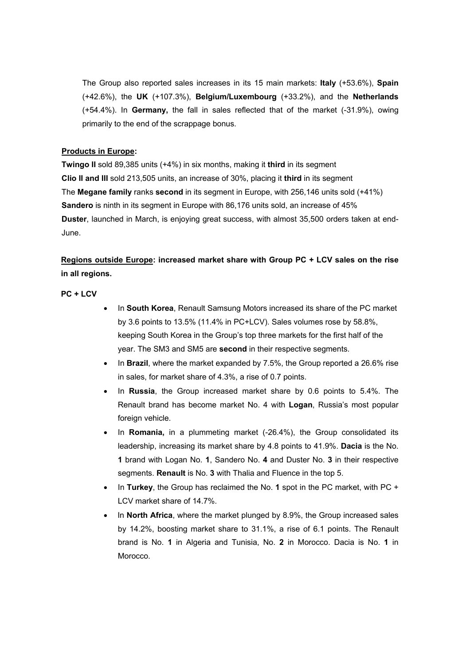The Group also reported sales increases in its 15 main markets: **Italy** (+53.6%), **Spain** (+42.6%), the **UK** (+107.3%), **Belgium/Luxembourg** (+33.2%), and the **Netherlands** (+54.4%). In **Germany,** the fall in sales reflected that of the market (-31.9%), owing primarily to the end of the scrappage bonus.

### **Products in Europe:**

**Twingo II** sold 89,385 units (+4%) in six months, making it **third** in its segment **Clio II and III** sold 213,505 units, an increase of 30%, placing it **third** in its segment The **Megane family** ranks **second** in its segment in Europe, with 256,146 units sold (+41%) **Sandero** is ninth in its segment in Europe with 86,176 units sold, an increase of 45% **Duster**, launched in March, is enjoying great success, with almost 35,500 orders taken at end-June.

### **Regions outside Europe: increased market share with Group PC + LCV sales on the rise in all regions.**

#### **PC + LCV**

- In **South Korea**, Renault Samsung Motors increased its share of the PC market by 3.6 points to 13.5% (11.4% in PC+LCV). Sales volumes rose by 58.8%, keeping South Korea in the Group's top three markets for the first half of the year. The SM3 and SM5 are **second** in their respective segments.
- In **Brazil**, where the market expanded by 7.5%, the Group reported a 26.6% rise in sales, for market share of 4.3%, a rise of 0.7 points.
- In **Russia**, the Group increased market share by 0.6 points to 5.4%. The Renault brand has become market No. 4 with **Logan**, Russia's most popular foreign vehicle.
- In **Romania,** in a plummeting market (-26.4%), the Group consolidated its leadership, increasing its market share by 4.8 points to 41.9%. **Dacia** is the No. **1** brand with Logan No. **1**, Sandero No. **4** and Duster No. **3** in their respective segments. **Renault** is No. **3** with Thalia and Fluence in the top 5.
- In **Turkey**, the Group has reclaimed the No. **1** spot in the PC market, with PC + LCV market share of 14.7%.
- In **North Africa**, where the market plunged by 8.9%, the Group increased sales by 14.2%, boosting market share to 31.1%, a rise of 6.1 points. The Renault brand is No. **1** in Algeria and Tunisia, No. **2** in Morocco. Dacia is No. **1** in Morocco.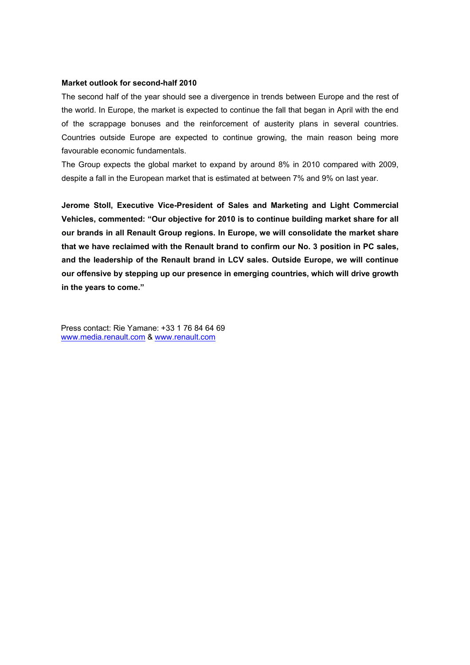#### **Market outlook for second-half 2010**

The second half of the year should see a divergence in trends between Europe and the rest of the world. In Europe, the market is expected to continue the fall that began in April with the end of the scrappage bonuses and the reinforcement of austerity plans in several countries. Countries outside Europe are expected to continue growing, the main reason being more favourable economic fundamentals.

The Group expects the global market to expand by around 8% in 2010 compared with 2009, despite a fall in the European market that is estimated at between 7% and 9% on last year.

**Jerome Stoll, Executive Vice-President of Sales and Marketing and Light Commercial Vehicles, commented: "Our objective for 2010 is to continue building market share for all our brands in all Renault Group regions. In Europe, we will consolidate the market share that we have reclaimed with the Renault brand to confirm our No. 3 position in PC sales, and the leadership of the Renault brand in LCV sales. Outside Europe, we will continue our offensive by stepping up our presence in emerging countries, which will drive growth in the years to come."** 

Press contact: Rie Yamane: +33 1 76 84 64 69 www.media.renault.com & www.renault.com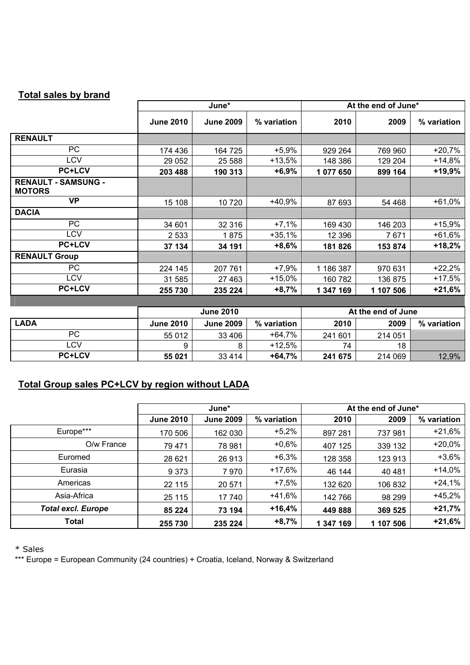| <b>Total sales by brand</b>                 |                                        |                  |             |                     |           |             |
|---------------------------------------------|----------------------------------------|------------------|-------------|---------------------|-----------|-------------|
|                                             | June*                                  |                  |             | At the end of June* |           |             |
|                                             | <b>June 2010</b>                       | <b>June 2009</b> | % variation | 2010                | 2009      | % variation |
| <b>RENAULT</b>                              |                                        |                  |             |                     |           |             |
| PC                                          | 174 436                                | 164 725          | $+5,9%$     | 929 264             | 769 960   | $+20,7%$    |
| <b>LCV</b>                                  | 29 0 52                                | 25 5 88          | $+13,5%$    | 148 386             | 129 204   | $+14,8%$    |
| <b>PC+LCV</b>                               | 203 488                                | 190 313          | $+6,9%$     | 1 077 650           | 899 164   | $+19,9%$    |
| <b>RENAULT - SAMSUNG -</b><br><b>MOTORS</b> |                                        |                  |             |                     |           |             |
| <b>VP</b>                                   | 15 108                                 | 10720            | +40,9%      | 87 693              | 54 468    | $+61,0%$    |
| <b>DACIA</b>                                |                                        |                  |             |                     |           |             |
| <b>PC</b>                                   | 34 601                                 | 32 316           | $+7,1%$     | 169 430             | 146 203   | $+15,9%$    |
| <b>LCV</b>                                  | 2 5 3 3                                | 1875             | $+35,1%$    | 12 3 9 6            | 7671      | $+61,6%$    |
| <b>PC+LCV</b>                               | 37 134                                 | 34 191           | $+8,6%$     | 181826              | 153 874   | $+18,2%$    |
| <b>RENAULT Group</b>                        |                                        |                  |             |                     |           |             |
| <b>PC</b>                                   | 224 145                                | 207 761          | $+7,9%$     | 1 186 387           | 970 631   | $+22,2%$    |
| <b>LCV</b>                                  | 31 585                                 | 27 4 63          | $+15,0%$    | 160 782             | 136 875   | $+17,5%$    |
| <b>PC+LCV</b>                               | 255 730                                | 235 224          | $+8,7%$     | 1 347 169           | 1 107 506 | $+21,6%$    |
|                                             |                                        |                  |             |                     |           |             |
|                                             | At the end of June<br><b>June 2010</b> |                  |             |                     |           |             |
| <b>LADA</b>                                 | <b>June 2010</b>                       | <b>June 2009</b> | % variation | 2010                | 2009      | % variation |
| <b>PC</b>                                   | 55 012                                 | 33 406           | $+64,7%$    | 241 601             | 214 051   |             |
| <b>LCV</b>                                  | 9                                      | 8                | $+12,5%$    | 74                  | 18        |             |
| <b>PC+LCV</b>                               | 55 021                                 | 33 4 14          | $+64,7%$    | 241 675             | 214 069   | 12,9%       |

# **Total Group sales PC+LCV by region without LADA**

|                           | June*            |                  |             | At the end of June* |           |             |
|---------------------------|------------------|------------------|-------------|---------------------|-----------|-------------|
|                           | <b>June 2010</b> | <b>June 2009</b> | % variation | 2010                | 2009      | % variation |
| Europe***                 | 170 506          | 162 030          | $+5,2%$     | 897 281             | 737981    | $+21,6%$    |
| O/w France                | 79 471           | 78 981           | $+0,6%$     | 407 125             | 339 132   | $+20,0%$    |
| Euromed                   | 28 621           | 26 913           | $+6,3%$     | 128 358             | 123 913   | $+3,6%$     |
| Eurasia                   | 9 3 7 3          | 7970             | $+17,6%$    | 46 144              | 40 481    | $+14,0%$    |
| Americas                  | 22 115           | 20 571           | $+7,5%$     | 132 620             | 106 832   | $+24,1%$    |
| Asia-Africa               | 25 115           | 17 740           | $+41,6%$    | 142 766             | 98 299    | $+45,2%$    |
| <b>Total excl. Europe</b> | 85 224           | 73 194           | $+16,4%$    | 449 888             | 369 525   | $+21,7%$    |
| <b>Total</b>              | 255 730          | 235 224          | $+8,7%$     | 1 347 169           | 1 107 506 | $+21,6%$    |

\* Sales

\*\*\* Europe = European Community (24 countries) + Croatia, Iceland, Norway & Switzerland